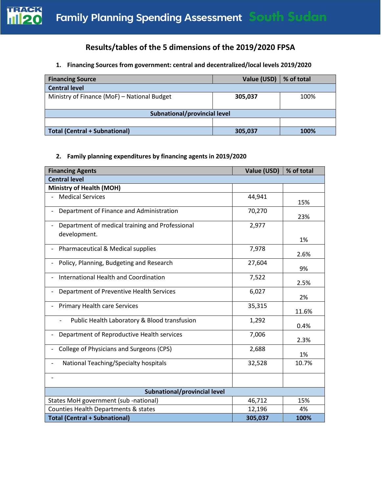

# **Results/tables of the 5 dimensions of the 2019/2020 FPSA**

### **1. Financing Sources from government: central and decentralized/local levels 2019/2020**

| <b>Financing Source</b>                     | Value (USD) | % of total |  |  |
|---------------------------------------------|-------------|------------|--|--|
| <b>Central level</b>                        |             |            |  |  |
| Ministry of Finance (MoF) - National Budget | 305,037     | 100%       |  |  |
|                                             |             |            |  |  |
| Subnational/provincial level                |             |            |  |  |
|                                             |             |            |  |  |
| Total (Central + Subnational)               | 305,037     | 100%       |  |  |

#### **2. Family planning expenditures by financing agents in 2019/2020**

| <b>Financing Agents</b>                         | Value (USD) | % of total |  |
|-------------------------------------------------|-------------|------------|--|
| <b>Central level</b>                            |             |            |  |
| Ministry of Health (MOH)                        |             |            |  |
| <b>Medical Services</b>                         | 44,941      | 15%        |  |
| Department of Finance and Administration        | 70,270      | 23%        |  |
| Department of medical training and Professional | 2,977       |            |  |
| development.                                    |             | 1%         |  |
| Pharmaceutical & Medical supplies               | 7,978       | 2.6%       |  |
| Policy, Planning, Budgeting and Research        | 27,604      | 9%         |  |
| International Health and Coordination           | 7,522       | 2.5%       |  |
| Department of Preventive Health Services        | 6,027       | 2%         |  |
| <b>Primary Health care Services</b>             | 35,315      | 11.6%      |  |
| Public Health Laboratory & Blood transfusion    | 1,292       | 0.4%       |  |
| Department of Reproductive Health services      | 7,006       | 2.3%       |  |
| College of Physicians and Surgeons (CPS)        | 2,688       | 1%         |  |
| National Teaching/Specialty hospitals           | 32,528      | 10.7%      |  |
|                                                 |             |            |  |
| Subnational/provincial level                    |             |            |  |
| States MoH government (sub -national)           | 46,712      | 15%        |  |
| Counties Health Departments & states            | 12,196      | 4%         |  |
| <b>Total (Central + Subnational)</b>            | 305,037     | 100%       |  |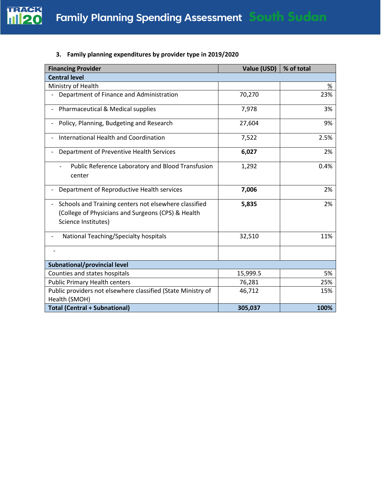

### **3. Family planning expenditures by provider type in 2019/2020**

| <b>Financing Provider</b>                                                                                                          | Value (USD) | % of total      |
|------------------------------------------------------------------------------------------------------------------------------------|-------------|-----------------|
| <b>Central level</b>                                                                                                               |             |                 |
| Ministry of Health                                                                                                                 |             | $\frac{\%}{\%}$ |
| Department of Finance and Administration                                                                                           | 70,270      | 23%             |
| Pharmaceutical & Medical supplies                                                                                                  | 7,978       | 3%              |
| Policy, Planning, Budgeting and Research                                                                                           | 27,604      | 9%              |
| International Health and Coordination                                                                                              | 7,522       | 2.5%            |
| Department of Preventive Health Services                                                                                           | 6,027       | 2%              |
| Public Reference Laboratory and Blood Transfusion<br>center                                                                        | 1,292       | 0.4%            |
| Department of Reproductive Health services                                                                                         | 7,006       | 2%              |
| Schools and Training centers not elsewhere classified<br>(College of Physicians and Surgeons (CPS) & Health<br>Science Institutes) | 5,835       | 2%              |
| National Teaching/Specialty hospitals                                                                                              | 32,510      | 11%             |
|                                                                                                                                    |             |                 |
| Subnational/provincial level                                                                                                       |             |                 |
| Counties and states hospitals                                                                                                      | 15,999.5    | 5%              |
| <b>Public Primary Health centers</b>                                                                                               | 76,281      | 25%             |
| Public providers not elsewhere classified (State Ministry of<br>Health (SMOH)                                                      | 46,712      | 15%             |
| <b>Total (Central + Subnational)</b>                                                                                               | 305,037     | 100%            |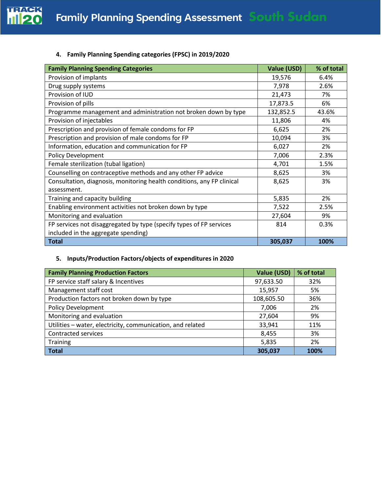

## **4. Family Planning Spending categories (FPSC) in 2019/2020**

| <b>Family Planning Spending Categories</b>                             | <b>Value (USD)</b> | % of total |
|------------------------------------------------------------------------|--------------------|------------|
| Provision of implants                                                  | 19,576             | 6.4%       |
| Drug supply systems                                                    | 7,978              | 2.6%       |
| Provision of IUD                                                       | 21,473             | 7%         |
| Provision of pills                                                     | 17,873.5           | 6%         |
| Programme management and administration not broken down by type        | 132,852.5          | 43.6%      |
| Provision of injectables                                               | 11,806             | 4%         |
| Prescription and provision of female condoms for FP                    | 6,625              | 2%         |
| Prescription and provision of male condoms for FP                      | 10,094             | 3%         |
| Information, education and communication for FP                        | 6,027              | 2%         |
| <b>Policy Development</b>                                              | 7,006              | 2.3%       |
| Female sterilization (tubal ligation)                                  | 4,701              | 1.5%       |
| Counselling on contraceptive methods and any other FP advice           | 8,625              | 3%         |
| Consultation, diagnosis, monitoring health conditions, any FP clinical | 8,625              | 3%         |
| assessment.                                                            |                    |            |
| Training and capacity building                                         | 5,835              | 2%         |
| Enabling environment activities not broken down by type                | 7,522              | 2.5%       |
| Monitoring and evaluation                                              | 27,604             | 9%         |
| FP services not disaggregated by type (specify types of FP services    | 814                | 0.3%       |
| included in the aggregate spending)                                    |                    |            |
| <b>Total</b>                                                           | 305,037            | 100%       |

## **5. Inputs/Production Factors/objects of expenditures in 2020**

| <b>Family Planning Production Factors</b>                  | Value (USD) | % of total |
|------------------------------------------------------------|-------------|------------|
| FP service staff salary & Incentives                       | 97,633.50   | 32%        |
| Management staff cost                                      | 15,957      | 5%         |
| Production factors not broken down by type                 | 108,605.50  | 36%        |
| <b>Policy Development</b>                                  | 7,006       | 2%         |
| Monitoring and evaluation                                  | 27,604      | 9%         |
| Utilities - water, electricity, communication, and related | 33,941      | 11%        |
| Contracted services                                        | 8,455       | 3%         |
| Training                                                   | 5,835       | 2%         |
| Total                                                      | 305,037     | 100%       |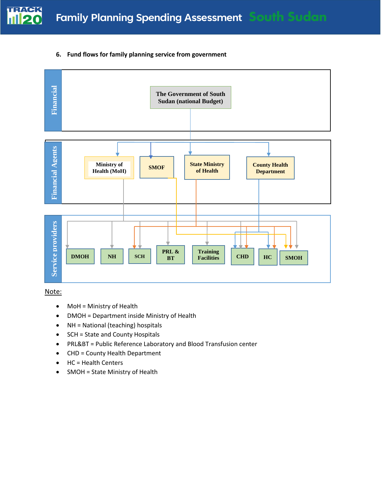

#### **6. Fund flows for family planning service from government**



Note:

- MoH = Ministry of Health
- DMOH = Department inside Ministry of Health
- NH = National (teaching) hospitals
- SCH = State and County Hospitals
- PRL&BT = Public Reference Laboratory and Blood Transfusion center
- CHD = County Health Department
- HC = Health Centers
-